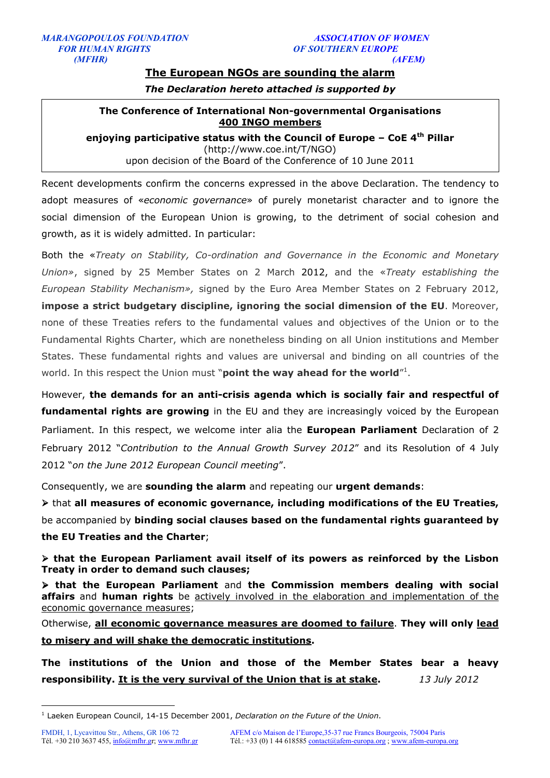# **The European NGOs are sounding the alarm**

*The Declaration hereto attached is supported by* 

# **The Conference of International Non-governmental Organisations 400 INGO members**

**enjoying participative status with the Council of Europe – CoE 4th Pillar** (http://www.coe.int/T/NGO) upon decision of the Board of the Conference of 10 June 2011

Recent developments confirm the concerns expressed in the above Declaration. The tendency to adopt measures of «*economic governance*» of purely monetarist character and to ignore the social dimension of the European Union is growing, to the detriment of social cohesion and growth, as it is widely admitted. In particular:

Both the «*Treaty on Stability, Co-ordination and Governance in the Economic and Monetary Union»*, signed by 25 Member States on 2 March 2012, and the «*Treaty establishing the European Stability Mechanism»,* signed by the Euro Area Member States on 2 February 2012, **impose a strict budgetary discipline, ignoring the social dimension of the EU**. Moreover, none of these Treaties refers to the fundamental values and objectives of the Union or to the Fundamental Rights Charter, which are nonetheless binding on all Union institutions and Member States. These fundamental rights and values are universal and binding on all countries of the world. In this respect the Union must "**point the way ahead for the world**"<sup>1</sup>.

However, **the demands for an anti-crisis agenda which is socially fair and respectful of fundamental rights are growing** in the EU and they are increasingly voiced by the European Parliament. In this respect, we welcome inter alia the **European Parliament** Declaration of 2 February 2012 "*Contribution to the Annual Growth Survey 2012*" and its Resolution of 4 July 2012 "*on the June 2012 European Council meeting*".

Consequently, we are **sounding the alarm** and repeating our **urgent demands**:

 that **all measures of economic governance, including modifications of the EU Treaties,** be accompanied by **binding social clauses based on the fundamental rights guaranteed by the EU Treaties and the Charter**;

 **that the European Parliament avail itself of its powers as reinforced by the Lisbon Treaty in order to demand such clauses;**

 **that the European Parliament** and **the Commission members dealing with social affairs** and **human rights** be actively involved in the elaboration and implementation of the economic governance measures;

Otherwise, **all economic governance measures are doomed to failure**. **They will only lead to misery and will shake the democratic institutions.** 

**The institutions of the Union and those of the Member States bear a heavy responsibility. It is the very survival of the Union that is at stake.** *13 July 2012* 

-

<sup>1</sup> Laeken European Council, 14-15 December 2001, *Declaration on the Future of the Union*.